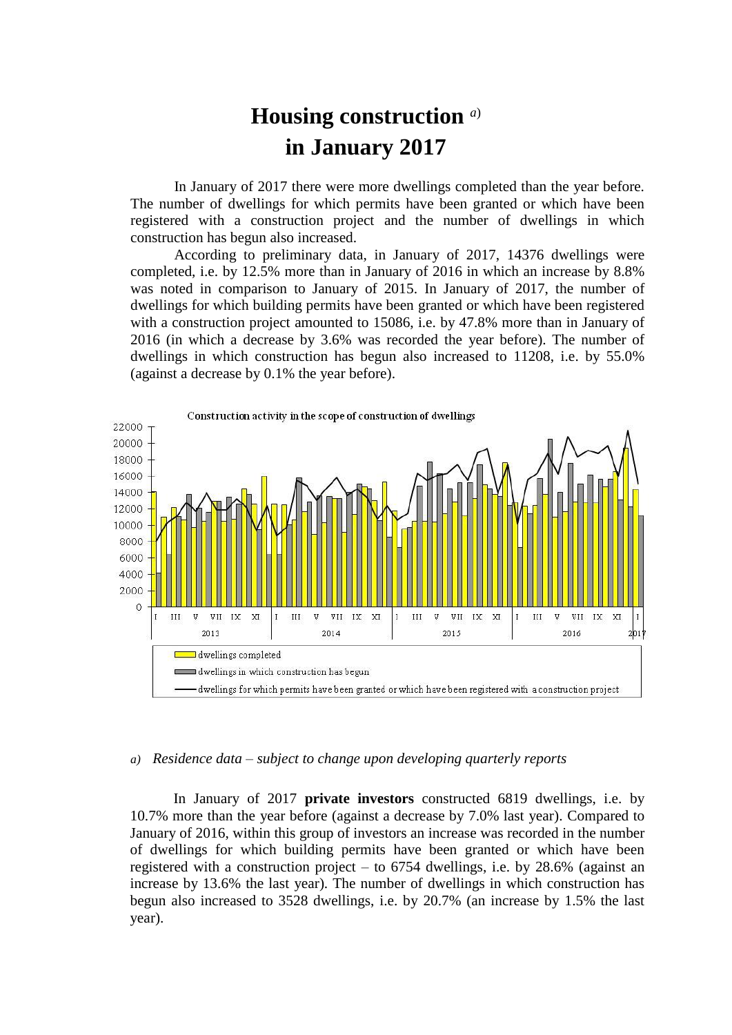## **Housing construction** *a*) **in January 2017**

In January of 2017 there were more dwellings completed than the year before. The number of dwellings for which permits have been granted or which have been registered with a construction project and the number of dwellings in which construction has begun also increased.

According to preliminary data, in January of 2017, 14376 dwellings were completed, i.e. by 12.5% more than in January of 2016 in which an increase by 8.8% was noted in comparison to January of 2015. In January of 2017, the number of dwellings for which building permits have been granted or which have been registered with a construction project amounted to 15086, i.e. by 47.8% more than in January of 2016 (in which a decrease by 3.6% was recorded the year before). The number of dwellings in which construction has begun also increased to 11208, i.e. by 55.0% (against a decrease by 0.1% the year before).



## *a) Residence data – subject to change upon developing quarterly reports*

In January of 2017 **private investors** constructed 6819 dwellings, i.e. by 10.7% more than the year before (against a decrease by 7.0% last year). Compared to January of 2016, within this group of investors an increase was recorded in the number of dwellings for which building permits have been granted or which have been registered with a construction project – to 6754 dwellings, i.e. by 28.6% (against an increase by 13.6% the last year). The number of dwellings in which construction has begun also increased to 3528 dwellings, i.e. by 20.7% (an increase by 1.5% the last year).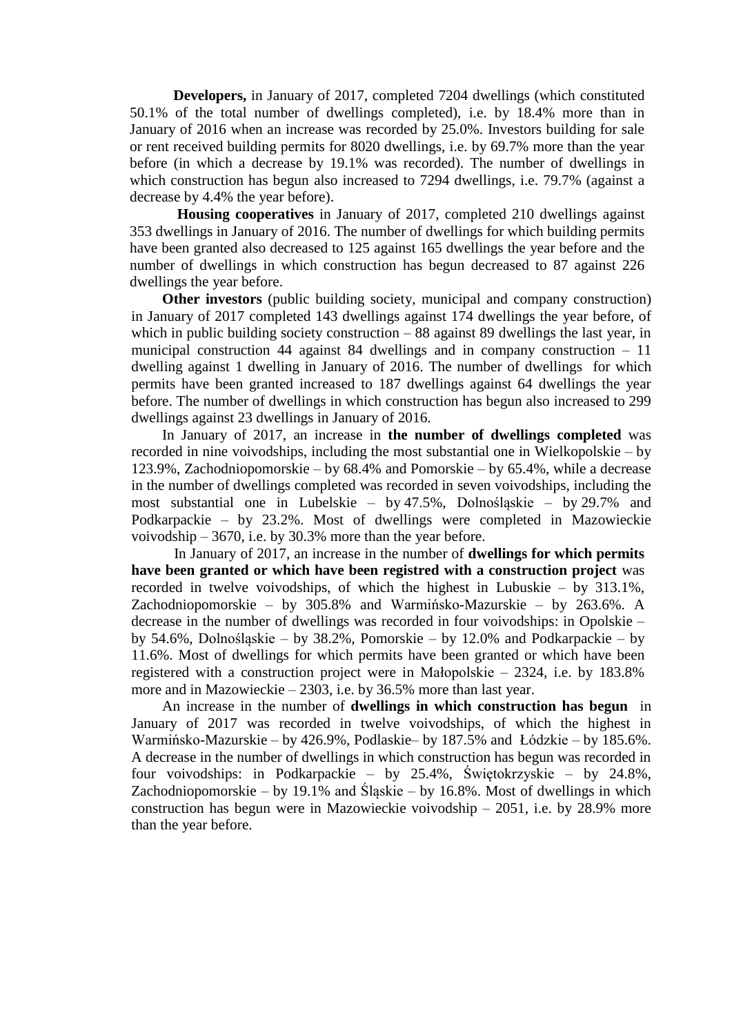**Developers,** in January of 2017, completed 7204 dwellings (which constituted 50.1% of the total number of dwellings completed), i.e. by 18.4% more than in January of 2016 when an increase was recorded by 25.0%. Investors building for sale or rent received building permits for 8020 dwellings, i.e. by 69.7% more than the year before (in which a decrease by 19.1% was recorded). The number of dwellings in which construction has begun also increased to 7294 dwellings, i.e. 79.7% (against a decrease by 4.4% the year before).

**Housing cooperatives** in January of 2017, completed 210 dwellings against 353 dwellings in January of 2016. The number of dwellings for which building permits have been granted also decreased to 125 against 165 dwellings the year before and the number of dwellings in which construction has begun decreased to 87 against 226 dwellings the year before.

**Other investors** (public building society, municipal and company construction) in January of 2017 completed 143 dwellings against 174 dwellings the year before, of which in public building society construction – 88 against 89 dwellings the last year, in municipal construction 44 against 84 dwellings and in company construction – 11 dwelling against 1 dwelling in January of 2016. The number of dwellings for which permits have been granted increased to 187 dwellings against 64 dwellings the year before. The number of dwellings in which construction has begun also increased to 299 dwellings against 23 dwellings in January of 2016.

In January of 2017, an increase in **the number of dwellings completed** was recorded in nine voivodships, including the most substantial one in Wielkopolskie – by 123.9%, Zachodniopomorskie – by 68.4% and Pomorskie – by 65.4%, while a decrease in the number of dwellings completed was recorded in seven voivodships, including the most substantial one in Lubelskie – by 47.5%, Dolnośląskie – by 29.7% and Podkarpackie – by 23.2%. Most of dwellings were completed in Mazowieckie voivodship – 3670, i.e. by 30.3% more than the year before.

In January of 2017, an increase in the number of **dwellings for which permits have been granted or which have been registred with a construction project** was recorded in twelve voivodships, of which the highest in Lubuskie – by 313.1%, Zachodniopomorskie – by 305.8% and Warmińsko-Mazurskie – by 263.6%. A decrease in the number of dwellings was recorded in four voivodships: in Opolskie – by 54.6%, Dolnośląskie – by 38.2%, Pomorskie – by 12.0% and Podkarpackie – by 11.6%. Most of dwellings for which permits have been granted or which have been registered with a construction project were in Małopolskie – 2324, i.e. by 183.8% more and in Mazowieckie – 2303, i.e. by 36.5% more than last year.

An increase in the number of **dwellings in which construction has begun** in January of 2017 was recorded in twelve voivodships, of which the highest in Warmińsko-Mazurskie – by 426.9%, Podlaskie– by 187.5% and Łódzkie – by 185.6%. A decrease in the number of dwellings in which construction has begun was recorded in four voivodships: in Podkarpackie – by 25.4%, Świętokrzyskie – by 24.8%, Zachodniopomorskie – by 19.1% and Śląskie – by 16.8%. Most of dwellings in which construction has begun were in Mazowieckie voivodship – 2051, i.e. by 28.9% more than the year before.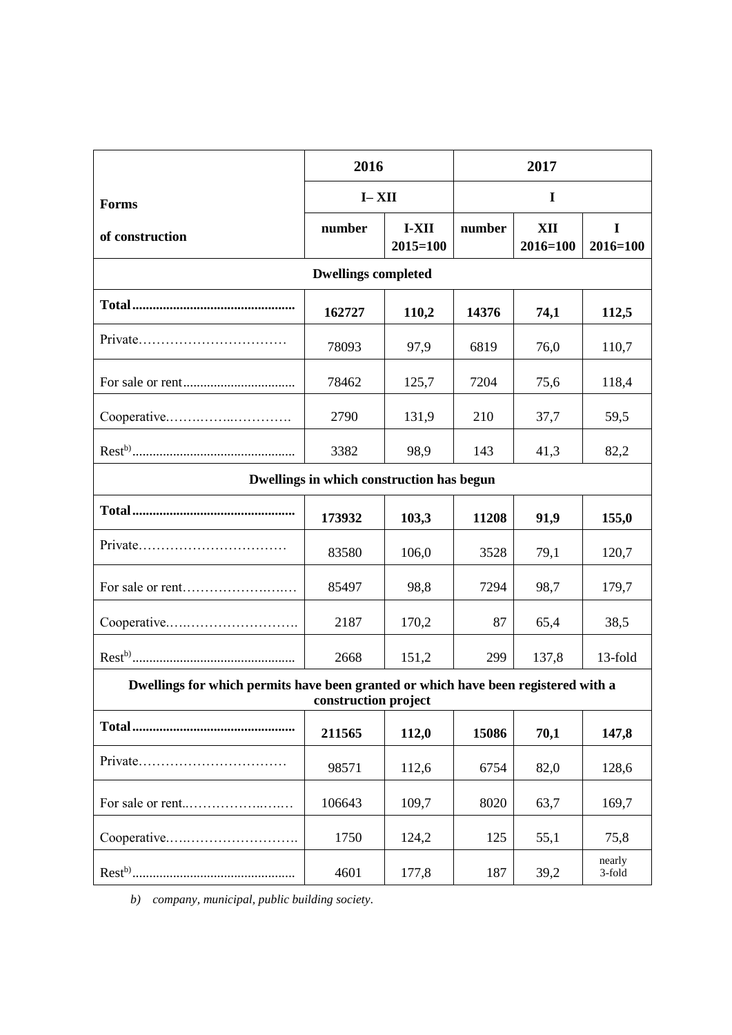|                                                                                                            | 2016      |                       | 2017   |                 |                  |
|------------------------------------------------------------------------------------------------------------|-----------|-----------------------|--------|-----------------|------------------|
| Forms                                                                                                      | $I - XII$ |                       | I      |                 |                  |
| of construction                                                                                            | number    | I-XII<br>$2015 = 100$ | number | XII<br>2016=100 | I<br>2016=100    |
| <b>Dwellings completed</b>                                                                                 |           |                       |        |                 |                  |
|                                                                                                            | 162727    | 110,2                 | 14376  | 74,1            | 112,5            |
|                                                                                                            | 78093     | 97,9                  | 6819   | 76,0            | 110,7            |
|                                                                                                            | 78462     | 125,7                 | 7204   | 75,6            | 118,4            |
| Cooperative                                                                                                | 2790      | 131,9                 | 210    | 37,7            | 59,5             |
|                                                                                                            | 3382      | 98,9                  | 143    | 41,3            | 82,2             |
| Dwellings in which construction has begun                                                                  |           |                       |        |                 |                  |
|                                                                                                            | 173932    | 103,3                 | 11208  | 91,9            | 155,0            |
|                                                                                                            | 83580     | 106,0                 | 3528   | 79,1            | 120,7            |
|                                                                                                            | 85497     | 98,8                  | 7294   | 98,7            | 179,7            |
|                                                                                                            | 2187      | 170,2                 | 87     | 65,4            | 38,5             |
|                                                                                                            | 2668      | 151,2                 | 299    | 137,8           | 13-fold          |
| Dwellings for which permits have been granted or which have been registered with a<br>construction project |           |                       |        |                 |                  |
|                                                                                                            | 211565    | 112,0                 | 15086  | 70,1            | 147,8            |
| Private                                                                                                    | 98571     | 112,6                 | 6754   | 82,0            | 128,6            |
|                                                                                                            | 106643    | 109,7                 | 8020   | 63,7            | 169,7            |
| Cooperative                                                                                                | 1750      | 124,2                 | 125    | 55,1            | 75,8             |
|                                                                                                            | 4601      | 177,8                 | 187    | 39,2            | nearly<br>3-fold |

*b) company, municipal, public building society.*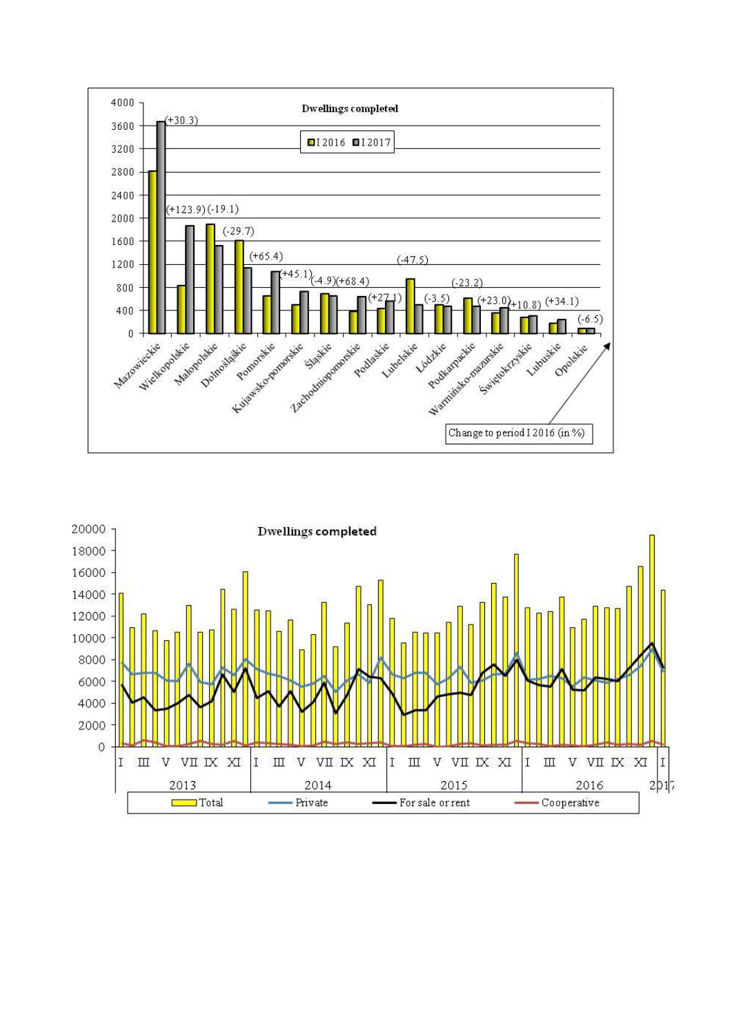